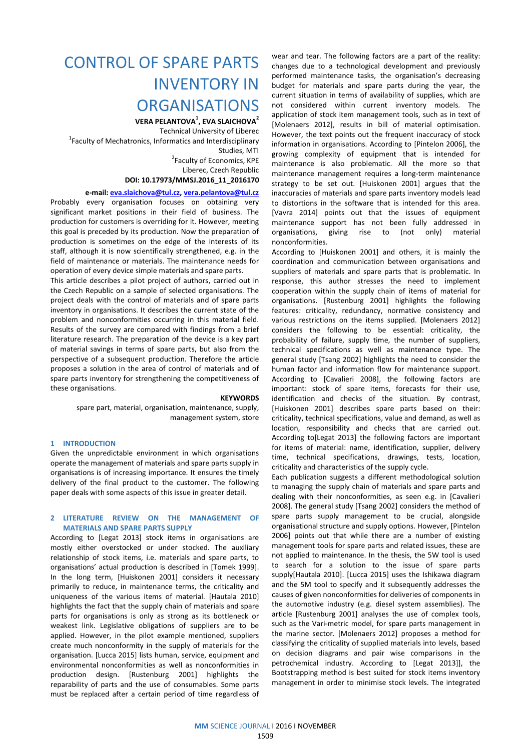# CONTROL OF SPARE PARTS INVENTORY IN **ORGANISATIONS**

VERA PELANTOVA $^1$ , EVA SLAICHOVA $^2$ Technical University of Liberec <sup>1</sup> Faculty of Mechatronics, Informatics and Interdisciplinary Studies, MTI <sup>2</sup> Faculty of Economics, KPE Liberec, Czech Republic

# DOI: 10.17973/MMSJ.2016\_11\_2016170

# e-mail: eva.slaichova@tul.cz, vera.pelantova@tul.cz

Probably every organisation focuses on obtaining very significant market positions in their field of business. The production for customers is overriding for it. However, meeting this goal is preceded by its production. Now the preparation of production is sometimes on the edge of the interests of its staff, although it is now scientifically strengthened, e.g. in the field of maintenance or materials. The maintenance needs for operation of every device simple materials and spare parts.

This article describes a pilot project of authors, carried out in the Czech Republic on a sample of selected organisations. The project deals with the control of materials and of spare parts inventory in organisations. It describes the current state of the problem and nonconformities occurring in this material field. Results of the survey are compared with findings from a brief literature research. The preparation of the device is a key part of material savings in terms of spare parts, but also from the perspective of a subsequent production. Therefore the article proposes a solution in the area of control of materials and of spare parts inventory for strengthening the competitiveness of these organisations.

#### **KEYWORDS**

spare part, material, organisation, maintenance, supply, management system, store

# 1 INTRODUCTION

Given the unpredictable environment in which organisations operate the management of materials and spare parts supply in organisations is of increasing importance. It ensures the timely delivery of the final product to the customer. The following paper deals with some aspects of this issue in greater detail.

## 2 LITERATURE REVIEW ON THE MANAGEMENT OF MATERIALS AND SPARE PARTS SUPPLY

According to [Legat 2013] stock items in organisations are mostly either overstocked or under stocked. The auxiliary relationship of stock items, i.e. materials and spare parts, to organisations' actual production is described in [Tomek 1999]. In the long term, [Huiskonen 2001] considers it necessary primarily to reduce, in maintenance terms, the criticality and uniqueness of the various items of material. [Hautala 2010] highlights the fact that the supply chain of materials and spare parts for organisations is only as strong as its bottleneck or weakest link. Legislative obligations of suppliers are to be applied. However, in the pilot example mentioned, suppliers create much nonconformity in the supply of materials for the organisation. [Lucca 2015] lists human, service, equipment and environmental nonconformities as well as nonconformities in production design. [Rustenburg 2001] highlights the reparability of parts and the use of consumables. Some parts must be replaced after a certain period of time regardless of

wear and tear. The following factors are a part of the reality: changes due to a technological development and previously performed maintenance tasks, the organisation's decreasing budget for materials and spare parts during the year, the current situation in terms of availability of supplies, which are not considered within current inventory models. The application of stock item management tools, such as in text of [Molenaers 2012], results in bill of material optimisation. However, the text points out the frequent inaccuracy of stock information in organisations. According to [Pintelon 2006], the growing complexity of equipment that is intended for maintenance is also problematic. All the more so that maintenance management requires a long-term maintenance strategy to be set out. [Huiskonen 2001] argues that the inaccuracies of materials and spare parts inventory models lead to distortions in the software that is intended for this area. [Vavra 2014] points out that the issues of equipment maintenance support has not been fully addressed in organisations, giving rise to (not only) material nonconformities.

According to [Huiskonen 2001] and others, it is mainly the coordination and communication between organisations and suppliers of materials and spare parts that is problematic. In response, this author stresses the need to implement cooperation within the supply chain of items of material for organisations. [Rustenburg 2001] highlights the following features: criticality, redundancy, normative consistency and various restrictions on the items supplied. [Molenaers 2012] considers the following to be essential: criticality, the probability of failure, supply time, the number of suppliers, technical specifications as well as maintenance type. The general study [Tsang 2002] highlights the need to consider the human factor and information flow for maintenance support. According to [Cavalieri 2008], the following factors are important: stock of spare items, forecasts for their use, identification and checks of the situation. By contrast, [Huiskonen 2001] describes spare parts based on their: criticality, technical specifications, value and demand, as well as location, responsibility and checks that are carried out. According to[Legat 2013] the following factors are important for items of material: name, identification, supplier, delivery time, technical specifications, drawings, tests, location, criticality and characteristics of the supply cycle.

Each publication suggests a different methodological solution to managing the supply chain of materials and spare parts and dealing with their nonconformities, as seen e.g. in [Cavalieri 2008]. The general study [Tsang 2002] considers the method of spare parts supply management to be crucial, alongside organisational structure and supply options. However, [Pintelon 2006] points out that while there are a number of existing management tools for spare parts and related issues, these are not applied to maintenance. In the thesis, the 5W tool is used to search for a solution to the issue of spare parts supply[Hautala 2010]. [Lucca 2015] uses the Ishikawa diagram and the 5M tool to specify and it subsequently addresses the causes of given nonconformities for deliveries of components in the automotive industry (e.g. diesel system assemblies). The article [Rustenburg 2001] analyses the use of complex tools, such as the Vari-metric model, for spare parts management in the marine sector. [Molenaers 2012] proposes a method for classifying the criticality of supplied materials into levels, based on decision diagrams and pair wise comparisons in the petrochemical industry. According to [Legat 2013]], the Bootstrapping method is best suited for stock items inventory management in order to minimise stock levels. The integrated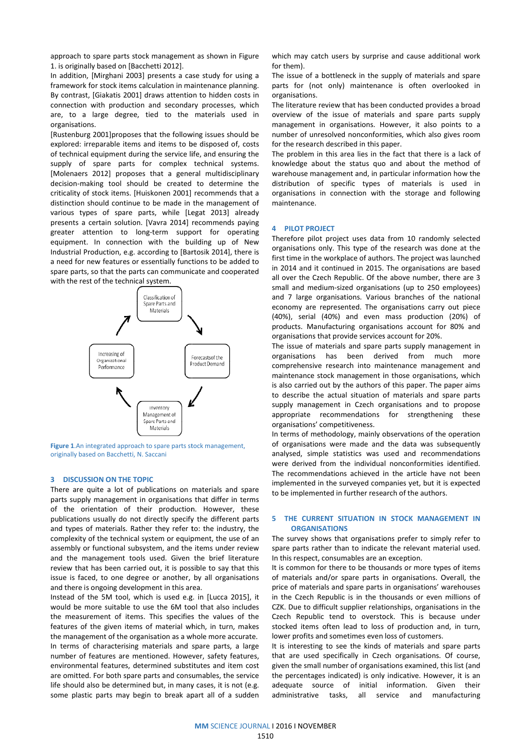1. is originally based on [Bacchetti 2012].

approach to spare parts stock management as shown in Figure<br>1. is originally based on [Bacchetti 2012].<br>In addition, [Mirghani 2003] presents a case study for using a<br>framework for stock items calculation in maintenance pl In addition, [Mirghani 2003] presents a case study for using a framework for stock items calculation in maintenance planning. By contrast, [Giakatis 2001] draws attention to hidden costs in connection with production and secondary processes, which are, to a large degree, tied to the materials used in organisations. connection with production and secondary processes, which<br>are, to a large degree, tied to the materials used in<br>organisations.<br>[Rustenburg 2001]proposes that the following issues should be<br>explored: irreparable items and i

[Rustenburg 2001]proposes that the following issues should be explored: irreparable items and items to be disposed of, c of technical equipment during the service life, and ensuring the supply of spare parts for complex technical systems. [Molenaers 2012] proposes that a general multidisciplinary decision-making tool should be created to determine the criticality of stock items. [Huiskonen 2001] recommends that a distinction should continue to be made in the management of distinction should continue to be made in the management of<br>various types of spare parts, while [Legat 2013] already presents a certain solution. [Vavra 2014] recommends paying greater attention to long-term support for operating presents a certain solution. [Vavra 2014] recommends paying<br>greater attention to long-term support for operating<br>equipment. In connection with the building up of New Industrial Production, e.g. according to [Bartosik 2014 2014], there is a need for new features or essentially functions to be added to spare parts, so that the parts can communicate and cooperated with the rest of the technical system. of technical equipment during the service life, and ensuring the supply of spare parts for complex technical systems.<br>[Molenaers 2012] proposes that a general multidisciplinary decision-making tool should be created to det



Figure 1.An integrated approach to spare parts stock management, originally based on Bacchetti, N. Saccani

#### 3 DISCUSSION ON THE TOPIC

There are quite a lot of publications on materials and spare parts supply management in organisations that differ in terms of the orientation of their production. However, these publications usually do not directly specify the different parts and types of materials. Rather they refer to: the industry, the complexity of the technical system or equipment, the use of an assembly or functional subsystem, and the items under review and the management tools used. Given the brief literature review that has been carried out, it is possible to say that this issue is faced, to one degree or another, by all organisations and there is ongoing development in this area. is supply management in organisations that differ in terms<br>the orientation of their production. However, these<br>lications usually do not directly specify the different parts<br>types of materials. Rather they refer to: the ind complexity of the technical system or equipment, the use of an<br>assembly or functional subsystem, and the items under review<br>and the management tools used. Given the brief literature<br>review that has been carried out, it is

Instead of the 5M tool, which is used e.g. in [Lucca 2015], it would be more suitable to use the 6M tool that also includes the measurement of items. This specifies the values of the features of the given items of material which, in turn, makes the management of the organisation as a whole more accurate. In terms of characterising materials and spare parts, a large number of features are mentioned. However, safety features, environmental features, determined substitutes and item cost are omitted. For both spare parts and consumables, the service life should also be determined but, in many cases, it is not (e.g. some plastic parts may begin to break apart all of a sudden ald be more suitable to use the 6M tool that also includes measurement of items. This specifies the values of the ures of the given items of material which, in turn, makes management of the organisation as a whole more acc I features, determined substitutes and item cost<br>For both spare parts and consumables, the service<br>o be determined but, in many cases, it is not (e.g.<br>parts may begin to break apart all of a sudden which may catch users by surprise and cause additional work for them).

The issue of a bottleneck in the supply of materials and spare parts for (not only) maintenance is often overlooked in organisations.

The literature review that has been conducted provides a broad overview of the issue of materials and spare parts supply management in organisations. However, it also points to a number of unresolved nonconformities, which also gives room for the research described in this paper.

The problem in this area lies in the fact that there is a lack of knowledge about the status quo and about the method of warehouse management and, in particular information how the distribution of specific types of materials is used in organisations in connection with the storage and following maintenance.

# 4 PILOT PROJECT

Therefore pilot project uses data from 10 randomly selected organisations only. This type of the research was done at the first time in the workplace of authors. The project was launched in 2014 and it continued in 2015. The organisations are based all over the Czech Republic. Of the above number, there are 3 small and medium-sized organisations (up to 250 employees) and 7 large organisations. Various branches of the national economy are represented. The organisations carry out piece (40%), serial (40%) and even mass production (20%) of products. Manufacturing organisations account for 80% and organisations that provide services account for 20%. sized organisations (up to 250 employees)<br>sations. Various branches of the national<br>sented. The organisations carry out piece<br>() and even mass production (20%) of<br>turing organisations account for 80% and<br>rovide services ac

The issue of materials and spare parts supply management in organisations has been derived from much more comprehensive research into maintenance management and maintenance stock management in those organisations, which is also carried out by the authors of this paper. The paper aims to describe the actual situation of materials and spare parts supply management in Czech organisations and to propose appropriate recommendations for strengthening these organisations' competitiveness.

In terms of methodology, mainly observations of the operation of organisations were made and the data was subsequently analysed, simple statistics was used and recommendations were derived from the individual nonconformities identified. The recommendations achieved in the article have not been implemented in the surveyed companies yet, but it is expected to be implemented in further research of the authors. ual situation of materials and spare parts<br>t in Czech organisations and to propose<br>mendations for strengthening these<br>etitiveness.<br>logy, mainly observations of the operation<br>re made and the data was subsequently<br>atistics w

#### 5 THE CURRENT SITUATION IN STOCK MANAGEMENT IN **ORGANISATIONS**

The survey shows that organisations prefer to simply refer to spare parts rather than to indicate the relevant material used. In this respect, consumables are an exception.

It is common for there to be thousands or more types of items of materials and/or spare parts in organisations. Overall, the price of materials and spare parts in organisations' warehouses in the Czech Republic is in the thousands or even millions of CZK. Due to difficult supplier relationships, organisations in the Czech Republic tend to overstock. This is because under stocked items often lead to loss of production and, in turn, lower profits and sometimes even loss of customers. blic is in the thousands or even millions of<br>It supplier relationships, organisations in the<br>end to overstock. This is because under<br>en lead to loss of production and, in turn,<br>ometimes even loss of customers.<br>see the kind

It is interesting to see the kinds of materials and spare parts that are used specifically in Czech organisations. Of course, given the small number of organisations examined, this list (and the percentages indicated) is only indicative. However, it is an adequate source of initial information. Given their administrative tasks, all service and manufacturing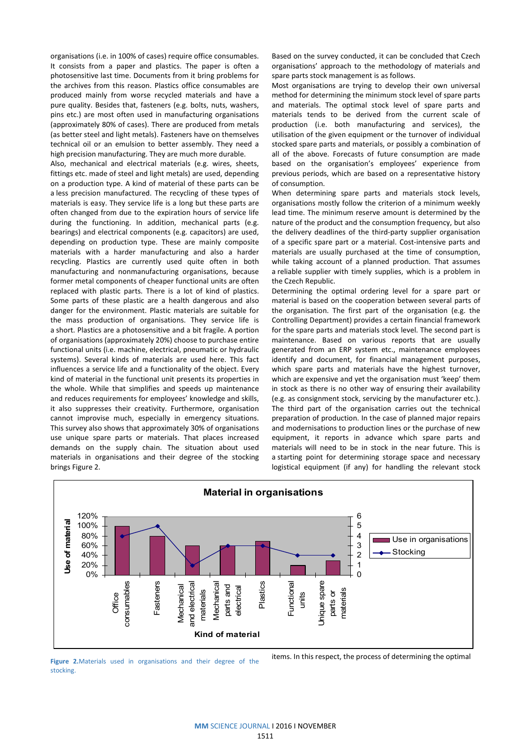organisations (i.e. in 100% of cases) require office consumables. It consists from a paper and plastics. The paper is often a photosensitive last time. Documents from it bring problems for the archives from this reason. Plastics office consumables are produced mainly from worse recycled materials and have a pure quality. Besides that, fasteners (e.g. bolts, nuts, washers, pins etc.) are most often used in manufacturing organisations (approximately 80% of cases). There are produced from metals (as better steel and light metals). Fasteners have on themselves technical oil or an emulsion to better assembly. They need a high precision manufacturing. They are much more durable.

Also, mechanical and electrical materials (e.g. wires, sheets, fittings etc. made of steel and light metals) are used, depending on a production type. A kind of material of these parts can be a less precision manufactured. The recycling of these types of materials is easy. They service life is a long but these parts are often changed from due to the expiration hours of service life during the functioning. In addition, mechanical parts (e.g. bearings) and electrical components (e.g. capacitors) are used, depending on production type. These are mainly composite materials with a harder manufacturing and also a harder recycling. Plastics are currently used quite often in both manufacturing and nonmanufacturing organisations, because former metal components of cheaper functional units are often replaced with plastic parts. There is a lot of kind of plastics. Some parts of these plastic are a health dangerous and also danger for the environment. Plastic materials are suitable for the mass production of organisations. They service life is a short. Plastics are a photosensitive and a bit fragile. A portion of organisations (approximately 20%) choose to purchase entire functional units (i.e. machine, electrical, pneumatic or hydraulic systems). Several kinds of materials are used here. This fact influences a service life and a functionality of the object. Every kind of material in the functional unit presents its properties in the whole. While that simplifies and speeds up maintenance and reduces requirements for employees' knowledge and skills, it also suppresses their creativity. Furthermore, organisation cannot improvise much, especially in emergency situations. This survey also shows that approximately 30% of organisations use unique spare parts or materials. That places increased demands on the supply chain. The situation about used materials in organisations and their degree of the stocking brings Figure 2.

Based on the survey conducted, it can be concluded that Czech organisations' approach to the methodology of materials and spare parts stock management is as follows.

Most organisations are trying to develop their own universal method for determining the minimum stock level of spare parts and materials. The optimal stock level of spare parts and materials tends to be derived from the current scale of production (i.e. both manufacturing and services), the utilisation of the given equipment or the turnover of individual stocked spare parts and materials, or possibly a combination of all of the above. Forecasts of future consumption are made based on the organisation's employees' experience from previous periods, which are based on a representative history of consumption.

When determining spare parts and materials stock levels, organisations mostly follow the criterion of a minimum weekly lead time. The minimum reserve amount is determined by the nature of the product and the consumption frequency, but also the delivery deadlines of the third-party supplier organisation of a specific spare part or a material. Cost-intensive parts and materials are usually purchased at the time of consumption, while taking account of a planned production. That assumes a reliable supplier with timely supplies, which is a problem in the Czech Republic.

Determining the optimal ordering level for a spare part or material is based on the cooperation between several parts of the organisation. The first part of the organisation (e.g. the Controlling Department) provides a certain financial framework for the spare parts and materials stock level. The second part is maintenance. Based on various reports that are usually generated from an ERP system etc., maintenance employees identify and document, for financial management purposes, which spare parts and materials have the highest turnover, which are expensive and yet the organisation must 'keep' them in stock as there is no other way of ensuring their availability (e.g. as consignment stock, servicing by the manufacturer etc.). The third part of the organisation carries out the technical preparation of production. In the case of planned major repairs and modernisations to production lines or the purchase of new equipment, it reports in advance which spare parts and materials will need to be in stock in the near future. This is a starting point for determining storage space and necessary logistical equipment (if any) for handling the relevant stock



Figure 2.Materials used in organisations and their degree of the stocking.

items. In this respect, the process of determining the optimal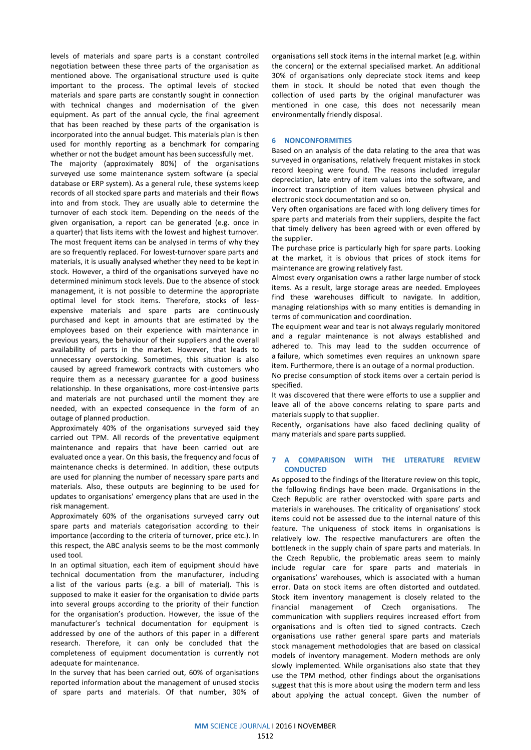levels of materials and spare parts is a constant controlled negotiation between these three parts of the organisation as mentioned above. The organisational structure used is quite important to the process. The optimal levels of stocked materials and spare parts are constantly sought in connection with technical changes and modernisation of the given equipment. As part of the annual cycle, the final agreement that has been reached by these parts of the organisation is incorporated into the annual budget. This materials plan is then used for monthly reporting as a benchmark for comparing whether or not the budget amount has been successfully met. The majority (approximately 80%) of the organisations surveyed use some maintenance system software (a special database or ERP system). As a general rule, these systems keep records of all stocked spare parts and materials and their flows into and from stock. They are usually able to determine the turnover of each stock item. Depending on the needs of the given organisation, a report can be generated (e.g. once in a quarter) that lists items with the lowest and highest turnover. The most frequent items can be analysed in terms of why they are so frequently replaced. For lowest-turnover spare parts and materials, it is usually analysed whether they need to be kept in stock. However, a third of the organisations surveyed have no determined minimum stock levels. Due to the absence of stock management, it is not possible to determine the appropriate optimal level for stock items. Therefore, stocks of lessexpensive materials and spare parts are continuously purchased and kept in amounts that are estimated by the employees based on their experience with maintenance in previous years, the behaviour of their suppliers and the overall availability of parts in the market. However, that leads to unnecessary overstocking. Sometimes, this situation is also caused by agreed framework contracts with customers who require them as a necessary guarantee for a good business relationship. In these organisations, more cost-intensive parts and materials are not purchased until the moment they are needed, with an expected consequence in the form of an outage of planned production.

Approximately 40% of the organisations surveyed said they carried out TPM. All records of the preventative equipment maintenance and repairs that have been carried out are evaluated once a year. On this basis, the frequency and focus of maintenance checks is determined. In addition, these outputs are used for planning the number of necessary spare parts and materials. Also, these outputs are beginning to be used for updates to organisations' emergency plans that are used in the risk management.

Approximately 60% of the organisations surveyed carry out spare parts and materials categorisation according to their importance (according to the criteria of turnover, price etc.). In this respect, the ABC analysis seems to be the most commonly used tool.

In an optimal situation, each item of equipment should have technical documentation from the manufacturer, including a list of the various parts (e.g. a bill of material). This is supposed to make it easier for the organisation to divide parts into several groups according to the priority of their function for the organisation's production. However, the issue of the manufacturer's technical documentation for equipment is addressed by one of the authors of this paper in a different research. Therefore, it can only be concluded that the completeness of equipment documentation is currently not adequate for maintenance.

In the survey that has been carried out, 60% of organisations reported information about the management of unused stocks of spare parts and materials. Of that number, 30% of

organisations sell stock items in the internal market (e.g. within the concern) or the external specialised market. An additional 30% of organisations only depreciate stock items and keep them in stock. It should be noted that even though the collection of used parts by the original manufacturer was mentioned in one case, this does not necessarily mean environmentally friendly disposal.

#### 6 NONCONFORMITIES

Based on an analysis of the data relating to the area that was surveyed in organisations, relatively frequent mistakes in stock record keeping were found. The reasons included irregular depreciation, late entry of item values into the software, and incorrect transcription of item values between physical and electronic stock documentation and so on.

Very often organisations are faced with long delivery times for spare parts and materials from their suppliers, despite the fact that timely delivery has been agreed with or even offered by the supplier.

The purchase price is particularly high for spare parts. Looking at the market, it is obvious that prices of stock items for maintenance are growing relatively fast.

Almost every organisation owns a rather large number of stock items. As a result, large storage areas are needed. Employees find these warehouses difficult to navigate. In addition, managing relationships with so many entities is demanding in terms of communication and coordination.

The equipment wear and tear is not always regularly monitored and a regular maintenance is not always established and adhered to. This may lead to the sudden occurrence of a failure, which sometimes even requires an unknown spare item. Furthermore, there is an outage of a normal production.

No precise consumption of stock items over a certain period is specified.

It was discovered that there were efforts to use a supplier and leave all of the above concerns relating to spare parts and materials supply to that supplier.

Recently, organisations have also faced declining quality of many materials and spare parts supplied.

#### 7 A COMPARISON WITH THE LITERATURE REVIEW **CONDUCTED**

As opposed to the findings of the literature review on this topic, the following findings have been made. Organisations in the Czech Republic are rather overstocked with spare parts and materials in warehouses. The criticality of organisations' stock items could not be assessed due to the internal nature of this feature. The uniqueness of stock items in organisations is relatively low. The respective manufacturers are often the bottleneck in the supply chain of spare parts and materials. In the Czech Republic, the problematic areas seem to mainly include regular care for spare parts and materials in organisations' warehouses, which is associated with a human error. Data on stock items are often distorted and outdated. Stock item inventory management is closely related to the financial management of Czech organisations. The communication with suppliers requires increased effort from organisations and is often tied to signed contracts. Czech organisations use rather general spare parts and materials stock management methodologies that are based on classical models of inventory management. Modern methods are only slowly implemented. While organisations also state that they use the TPM method, other findings about the organisations suggest that this is more about using the modern term and less about applying the actual concept. Given the number of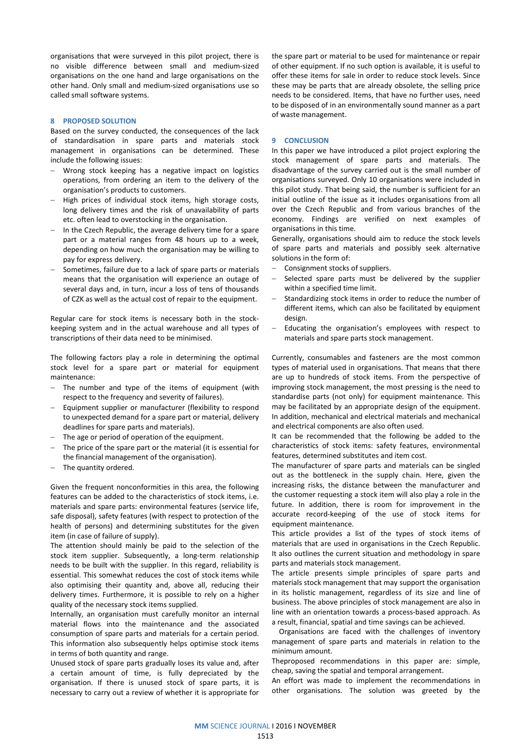organisations that were surveyed in this pilot project, there is no visible difference between small and medium-sized organisations on the one hand and large organisations on the other hand. Only small and medium-sized organisations use so called small software systems.

#### 8 PROPOSED SOLUTION

Based on the survey conducted, the consequences of the lack of standardisation in spare parts and materials stock management in organisations can be determined. These include the following issues:

- Wrong stock keeping has a negative impact on logistics operations, from ordering an item to the delivery of the organisation's products to customers.
- High prices of individual stock items, high storage costs, long delivery times and the risk of unavailability of parts etc. often lead to overstocking in the organisation.
- In the Czech Republic, the average delivery time for a spare part or a material ranges from 48 hours up to a week, depending on how much the organisation may be willing to pay for express delivery.
- Sometimes, failure due to a lack of spare parts or materials means that the organisation will experience an outage of several days and, in turn, incur a loss of tens of thousands of CZK as well as the actual cost of repair to the equipment.

Regular care for stock items is necessary both in the stockkeeping system and in the actual warehouse and all types of transcriptions of their data need to be minimised.

The following factors play a role in determining the optimal stock level for a spare part or material for equipment maintenance:

- The number and type of the items of equipment (with respect to the frequency and severity of failures).
- Equipment supplier or manufacturer (flexibility to respond to unexpected demand for a spare part or material, delivery deadlines for spare parts and materials).
- The age or period of operation of the equipment.
- The price of the spare part or the material (it is essential for the financial management of the organisation).
- The quantity ordered.

Given the frequent nonconformities in this area, the following features can be added to the characteristics of stock items, i.e. materials and spare parts: environmental features (service life, safe disposal), safety features (with respect to protection of the health of persons) and determining substitutes for the given item (in case of failure of supply).

The attention should mainly be paid to the selection of the stock item supplier. Subsequently, a long-term relationship needs to be built with the supplier. In this regard, reliability is essential. This somewhat reduces the cost of stock items while also optimising their quantity and, above all, reducing their delivery times. Furthermore, it is possible to rely on a higher quality of the necessary stock items supplied.

Internally, an organisation must carefully monitor an internal material flows into the maintenance and the associated consumption of spare parts and materials for a certain period. This information also subsequently helps optimise stock items in terms of both quantity and range.

Unused stock of spare parts gradually loses its value and, after a certain amount of time, is fully depreciated by the organisation. If there is unused stock of spare parts, it is necessary to carry out a review of whether it is appropriate for the spare part or material to be used for maintenance or repair of other equipment. If no such option is available, it is useful to offer these items for sale in order to reduce stock levels. Since these may be parts that are already obsolete, the selling price needs to be considered. Items, that have no further uses, need to be disposed of in an environmentally sound manner as a part of waste management.

#### 9 CONCLUSION

In this paper we have introduced a pilot project exploring the stock management of spare parts and materials. The disadvantage of the survey carried out is the small number of organisations surveyed. Only 10 organisations were included in this pilot study. That being said, the number is sufficient for an initial outline of the issue as it includes organisations from all over the Czech Republic and from various branches of the economy. Findings are verified on next examples of organisations in this time.

Generally, organisations should aim to reduce the stock levels of spare parts and materials and possibly seek alternative solutions in the form of:

- Consignment stocks of suppliers.
- Selected spare parts must be delivered by the supplier within a specified time limit.
- Standardizing stock items in order to reduce the number of different items, which can also be facilitated by equipment design.
- Educating the organisation's employees with respect to materials and spare parts stock management.

Currently, consumables and fasteners are the most common types of material used in organisations. That means that there are up to hundreds of stock items. From the perspective of improving stock management, the most pressing is the need to standardise parts (not only) for equipment maintenance. This may be facilitated by an appropriate design of the equipment. In addition, mechanical and electrical materials and mechanical and electrical components are also often used.

It can be recommended that the following be added to the characteristics of stock items: safety features, environmental features, determined substitutes and item cost.

The manufacturer of spare parts and materials can be singled out as the bottleneck in the supply chain. Here, given the increasing risks, the distance between the manufacturer and the customer requesting a stock item will also play a role in the future. In addition, there is room for improvement in the accurate record-keeping of the use of stock items for equipment maintenance.

This article provides a list of the types of stock items of materials that are used in organisations in the Czech Republic. It also outlines the current situation and methodology in spare parts and materials stock management.

The article presents simple principles of spare parts and materials stock management that may support the organisation in its holistic management, regardless of its size and line of business. The above principles of stock management are also in line with an orientation towards a process-based approach. As a result, financial, spatial and time savings can be achieved.

 Organisations are faced with the challenges of inventory management of spare parts and materials in relation to the minimum amount.

Theproposed recommendations in this paper are: simple, cheap, saving the spatial and temporal arrangement.

An effort was made to implement the recommendations in other organisations. The solution was greeted by the